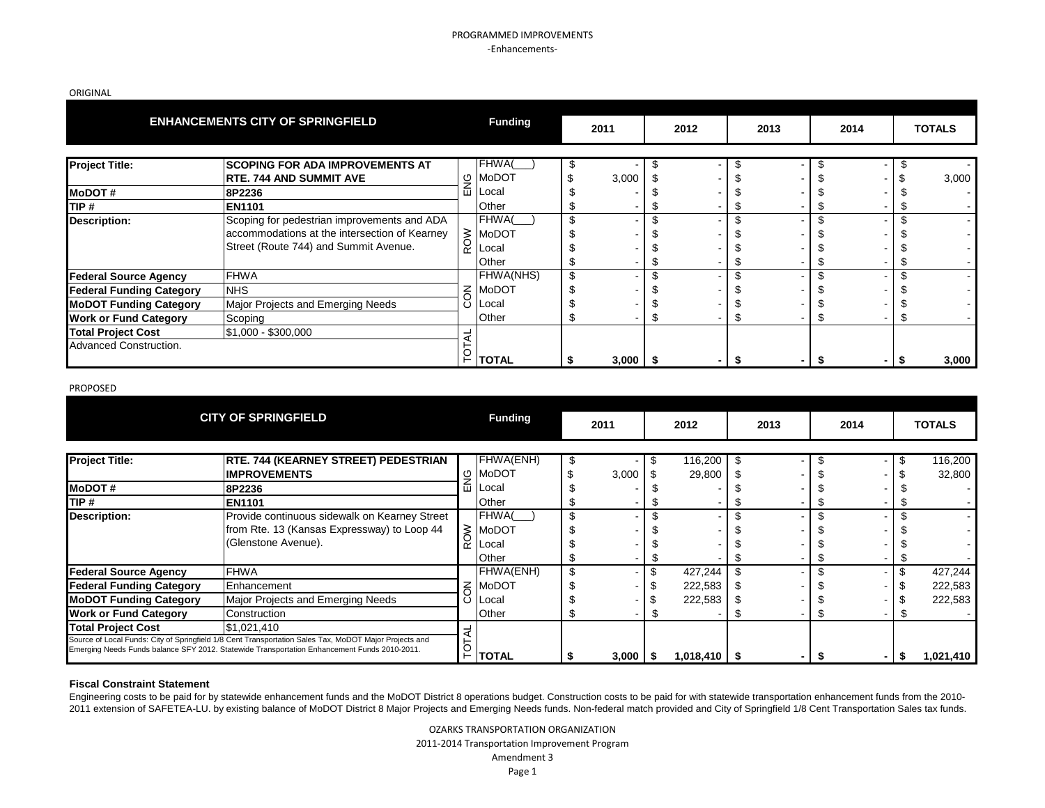### PROGRAMMED IMPROVEMENTS -Enhancements-

ORIGINAL

|                                 | <b>ENHANCEMENTS CITY OF SPRINGFIELD</b>       |                | <b>Funding</b> | 2011         |    | 2012           |      | 2013 |    | 2014 |      | <b>TOTALS</b> |
|---------------------------------|-----------------------------------------------|----------------|----------------|--------------|----|----------------|------|------|----|------|------|---------------|
|                                 |                                               |                |                |              |    |                |      |      |    |      |      |               |
| <b>Project Title:</b>           | <b>SCOPING FOR ADA IMPROVEMENTS AT</b>        |                | FHWA(          |              | Ŧ. | ۰              | \$   |      | ¥. |      | - \$ |               |
|                                 | <b>RTE. 744 AND SUMMIT AVE</b>                | ENG            | <b>MoDOT</b>   | 3,000        |    |                |      |      |    |      |      | 3,000         |
| <b>MoDOT#</b>                   | 8P2236                                        |                | Local          |              |    |                |      |      |    |      |      |               |
| TIP#                            | <b>EN1101</b>                                 |                | Other          |              |    |                | S    |      |    |      | Ъ    |               |
| <b>Description:</b>             | Scoping for pedestrian improvements and ADA   |                | FHWA(          |              |    |                |      |      |    |      |      |               |
|                                 | accommodations at the intersection of Kearney |                | <b>MoDOT</b>   |              |    |                |      |      |    |      |      |               |
|                                 | Street (Route 744) and Summit Avenue.         | ROW            | Local          |              |    |                |      |      |    |      |      |               |
|                                 |                                               |                | Other          |              |    |                | \$   |      |    |      | S.   |               |
| <b>Federal Source Agency</b>    | <b>FHWA</b>                                   |                | FHWA(NHS)      | \$           |    | ۰              | \$   |      |    |      | \$   |               |
| <b>Federal Funding Category</b> | <b>NHS</b>                                    | $\overline{6}$ | <b>MoDOT</b>   |              |    |                |      |      |    |      |      |               |
| <b>MoDOT Funding Category</b>   | Major Projects and Emerging Needs             | Ō              | Local          |              |    |                | S    |      |    |      |      |               |
| <b>Work or Fund Category</b>    | Scoping                                       |                | Other          |              |    |                | S    |      |    |      | \$   |               |
| <b>Total Project Cost</b>       | \$1,000 - \$300,000                           | ₹              |                |              |    |                |      |      |    |      |      |               |
| Advanced Construction.          |                                               |                |                |              |    |                |      |      |    |      |      |               |
|                                 |                                               | TOT            | <b>TOTAL</b>   | $3,000$   \$ |    | $\blacksquare$ | - \$ |      |    |      | - \$ | 3,000         |
|                                 |                                               |                |                |              |    |                |      |      |    |      |      |               |
| <b>PROPOSED</b>                 |                                               |                |                |              |    |                |      |      |    |      |      |               |
|                                 |                                               |                |                |              |    |                |      |      |    |      |      |               |
|                                 | <b>CITY OF SPRINGFIELD</b>                    |                | <b>Funding</b> | 2011         |    | 2012           |      | 2013 |    | 2014 |      | <b>TOTALS</b> |

#### PROPOSED

|                                    | <b>CITY OF SPRINGFIELD</b>                                                                                                                                                                                                                                                                                                                                                                                                 |          | <b>Funding</b> | 2011  |    | 2012           | 2013 |    | 2014 |      | <b>TOTALS</b> |
|------------------------------------|----------------------------------------------------------------------------------------------------------------------------------------------------------------------------------------------------------------------------------------------------------------------------------------------------------------------------------------------------------------------------------------------------------------------------|----------|----------------|-------|----|----------------|------|----|------|------|---------------|
| <b>Project Title:</b>              | <b>RTE. 744 (KEARNEY STREET) PEDESTRIAN</b>                                                                                                                                                                                                                                                                                                                                                                                |          | FHWA(ENH)      | \$    | £. | 116,200        |      |    |      |      | 116,200       |
|                                    | <b>IMPROVEMENTS</b>                                                                                                                                                                                                                                                                                                                                                                                                        |          | ம MoDOT        | 3,000 |    | 29,800         |      |    |      |      | 32,800        |
| <b>IMODOT#</b>                     | 8P2236                                                                                                                                                                                                                                                                                                                                                                                                                     | ш        | .ocal          |       |    |                |      |    |      |      |               |
| TIP#                               | EN1101                                                                                                                                                                                                                                                                                                                                                                                                                     |          | Other          |       |    |                |      |    |      |      |               |
| <b>Description:</b>                | Provide continuous sidewalk on Kearney Street                                                                                                                                                                                                                                                                                                                                                                              |          | FHWA(          | \$    |    |                |      |    |      |      |               |
|                                    | from Rte. 13 (Kansas Expressway) to Loop 44                                                                                                                                                                                                                                                                                                                                                                                |          | $\geq$ MoDOT   |       |    |                |      |    |      |      |               |
|                                    | (Glenstone Avenue).                                                                                                                                                                                                                                                                                                                                                                                                        | $\alpha$ | Local          |       |    |                |      |    |      |      |               |
|                                    |                                                                                                                                                                                                                                                                                                                                                                                                                            |          | Other          |       |    |                |      |    |      |      |               |
| <b>Federal Source Agency</b>       | <b>FHWA</b>                                                                                                                                                                                                                                                                                                                                                                                                                |          | FHWA(ENH)      | \$    |    | 427,244        |      |    |      |      | 427,244       |
| <b>Federal Funding Category</b>    | Enhancement                                                                                                                                                                                                                                                                                                                                                                                                                | $\leq$   | <b>MoDOT</b>   |       |    | 222,583        |      |    |      |      | 222,583       |
| <b>MoDOT Funding Category</b>      | Major Projects and Emerging Needs                                                                                                                                                                                                                                                                                                                                                                                          | ပ        | ILocal         |       |    | 222,583        |      |    |      |      | 222,583       |
| <b>Work or Fund Category</b>       | Construction                                                                                                                                                                                                                                                                                                                                                                                                               |          | Other          |       |    |                |      |    |      |      |               |
| <b>Total Project Cost</b>          | \$1,021,410                                                                                                                                                                                                                                                                                                                                                                                                                |          |                |       |    |                |      |    |      |      |               |
|                                    | Source of Local Funds: City of Springfield 1/8 Cent Transportation Sales Tax, MoDOT Major Projects and<br>Emerging Needs Funds balance SFY 2012. Statewide Transportation Enhancement Funds 2010-2011.                                                                                                                                                                                                                     | P        | <b>TOTAL</b>   | 3,000 | \$ | $1,018,410$ \$ |      | S. |      | - \$ | 1,021,410     |
| <b>Fiscal Constraint Statement</b> |                                                                                                                                                                                                                                                                                                                                                                                                                            |          |                |       |    |                |      |    |      |      |               |
|                                    | Engineering costs to be paid for by statewide enhancement funds and the MoDOT District 8 operations budget. Construction costs to be paid for with statewide transportation enhancement funds from the 2010-<br>2011 extension of SAFETEA-LU. by existing balance of MoDOT District 8 Major Projects and Emerging Needs funds. Non-federal match provided and City of Springfield 1/8 Cent Transportation Sales tax funds. |          |                |       |    |                |      |    |      |      |               |

### **Fiscal Constraint Statement**

OZARKS TRANSPORTATION ORGANIZATION 2011-2014 Transportation Improvement Program

#### Amendment 3

Page 1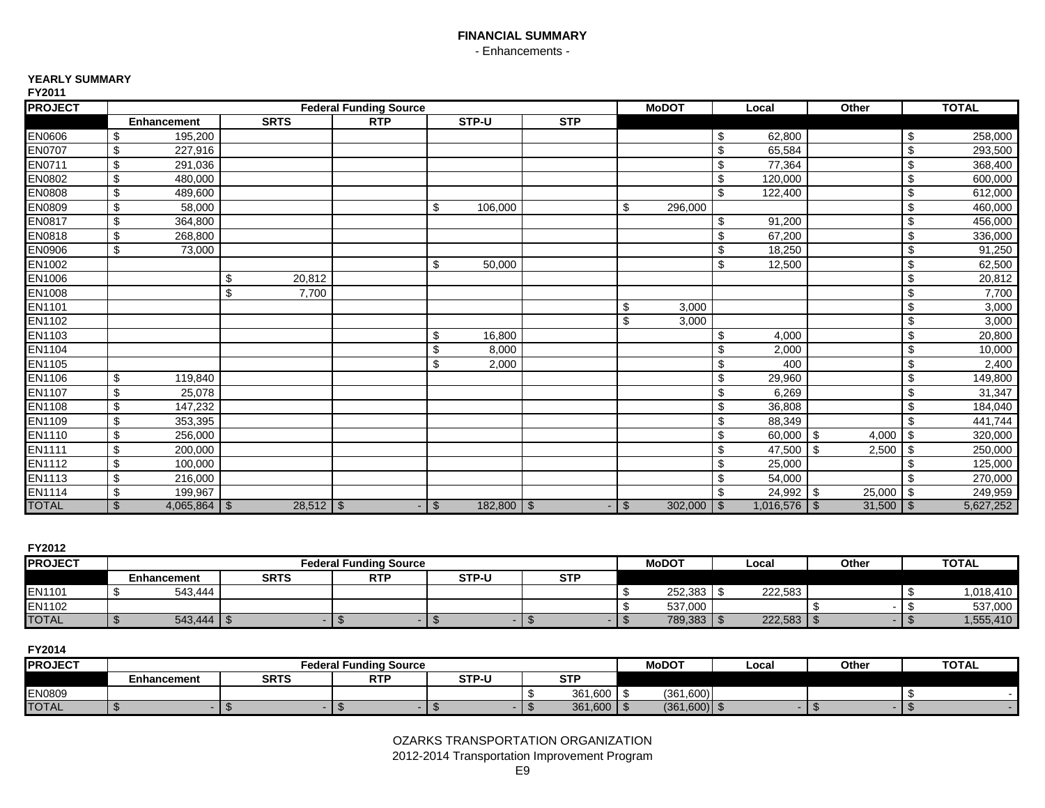# **FINANCIAL SUMMARY** - Enhancements -

### **YEARLY SUMMARY**

| <b>PROJECT</b> |                    |             |             | <b>Federal Funding Source</b> |                |                |     |               | <b>MoDOT</b> |                         | Local       | Other       |           | <b>TOTAL</b> |
|----------------|--------------------|-------------|-------------|-------------------------------|----------------|----------------|-----|---------------|--------------|-------------------------|-------------|-------------|-----------|--------------|
|                | <b>Enhancement</b> | <b>SRTS</b> |             | <b>RTP</b>                    |                | STP-U          | STP |               |              |                         |             |             |           |              |
| <b>EN0606</b>  | 195,200<br>\$      |             |             |                               |                |                |     |               |              | \$                      | 62,800      |             | \$        | 258,000      |
| <b>EN0707</b>  | 227,916<br>\$      |             |             |                               |                |                |     |               |              | \$                      | 65,584      |             | \$        | 293,500      |
| EN0711         | \$<br>291,036      |             |             |                               |                |                |     |               |              | \$                      | 77,364      |             | \$        | 368,400      |
| <b>EN0802</b>  | \$<br>480,000      |             |             |                               |                |                |     |               |              | \$                      | 120,000     |             | \$        | 600,000      |
| <b>EN0808</b>  | \$<br>489,600      |             |             |                               |                |                |     |               |              | \$                      | 122,400     |             | \$        | 612,000      |
| <b>EN0809</b>  | \$<br>58,000       |             |             |                               | \$             | 106,000        |     | \$            | 296,000      |                         |             |             | \$        | 460,000      |
| <b>EN0817</b>  | \$<br>364,800      |             |             |                               |                |                |     |               |              | \$                      | 91,200      |             | \$        | 456,000      |
| EN0818         | \$<br>268,800      |             |             |                               |                |                |     |               |              | \$                      | 67,200      |             | \$        | 336,000      |
| EN0906         | \$<br>73,000       |             |             |                               |                |                |     |               |              | \$                      | 18,250      |             | \$        | 91,250       |
| EN1002         |                    |             |             |                               | \$             | 50,000         |     |               |              | \$                      | 12,500      |             | \$        | 62,500       |
| <b>EN1006</b>  |                    | \$          | 20,812      |                               |                |                |     |               |              |                         |             |             | \$        | 20,812       |
| EN1008         |                    | \$          | 7,700       |                               |                |                |     |               |              |                         |             |             | \$        | 7,700        |
| <b>EN1101</b>  |                    |             |             |                               |                |                |     | \$            | 3,000        |                         |             |             | \$        | 3,000        |
| EN1102         |                    |             |             |                               |                |                |     | \$            | 3,000        |                         |             |             | \$        | 3,000        |
| EN1103         |                    |             |             |                               | \$             | 16.800         |     |               |              | \$                      | 4,000       |             | \$        | 20,800       |
| <b>EN1104</b>  |                    |             |             |                               | \$             | 8,000          |     |               |              | \$                      | 2,000       |             | \$        | 10,000       |
| EN1105         |                    |             |             |                               | \$             | 2,000          |     |               |              | \$                      | 400         |             | \$        | 2,400        |
| <b>EN1106</b>  | \$<br>119,840      |             |             |                               |                |                |     |               |              | \$                      | 29,960      |             | \$        | 149,800      |
| <b>EN1107</b>  | \$<br>25,078       |             |             |                               |                |                |     |               |              | $\overline{\mathbf{e}}$ | 6,269       |             | \$        | 31,347       |
| <b>EN1108</b>  | \$<br>147,232      |             |             |                               |                |                |     |               |              | \$                      | 36,808      |             | \$        | 184,040      |
| EN1109         | \$<br>353,395      |             |             |                               |                |                |     |               |              | \$                      | 88,349      |             | \$        | 441,744      |
| <b>EN1110</b>  | \$<br>256,000      |             |             |                               |                |                |     |               |              | \$                      | $60,000$ \$ | 4,000       | \$        | 320,000      |
| <b>EN1111</b>  | \$<br>200,000      |             |             |                               |                |                |     |               |              | \$                      | 47,500 \$   | 2,500       | -\$       | 250,000      |
| <b>EN1112</b>  | \$<br>100,000      |             |             |                               |                |                |     |               |              | \$                      | 25,000      |             | \$        | 125,000      |
| <b>EN1113</b>  | \$<br>216,000      |             |             |                               |                |                |     |               |              | \$                      | 54,000      |             | -\$       | 270,000      |
| <b>EN1114</b>  | \$<br>199,967      |             |             |                               |                |                |     |               |              | \$                      | 24,992 \$   | 25,000      | <b>\$</b> | 249,959      |
| <b>TOTAL</b>   | $\mathfrak{L}$     |             | $28,512$ \$ |                               | $\mathfrak{L}$ | $182,800$ \ \$ |     | $\sqrt[6]{3}$ | $302,000$ \$ |                         |             | $31,500$ \$ |           | 5,627,252    |

**FY2012**

| I I ZU I Z     |             |             |                               |       |            |              |              |       |              |
|----------------|-------------|-------------|-------------------------------|-------|------------|--------------|--------------|-------|--------------|
| <b>PROJECT</b> |             |             | <b>Federal Funding Source</b> |       |            | <b>MoDOT</b> | Local        | Other | <b>TOTAL</b> |
|                | Enhancement | <b>SRTS</b> | <b>RTF</b>                    | STP-U | <b>STP</b> |              |              |       |              |
| <b>EN1101</b>  | 543,444     |             |                               |       |            | 252,383      | 222,583      |       | 1,018,410    |
| EN1102         |             |             |                               |       |            | 537,000      |              |       | 537,000      |
| <b>TOTAL</b>   | 543,444     |             |                               |       |            | 789,383 \$   | $222,583$ \$ |       | 1,555,410    |

**FY2014**

| <b>PROJECT</b> |                    |             | <b>Federal Funding Source</b> |       |                  | <b>MoDOT</b>   | ∟ocal | Other | <b>TOTAL</b> |
|----------------|--------------------|-------------|-------------------------------|-------|------------------|----------------|-------|-------|--------------|
|                | <b>Enhancement</b> | <b>SRTS</b> | <b>DTD</b><br>. .             | STP-U | <b>CTI</b><br>ЭI |                |       |       |              |
| <b>EN0809</b>  |                    |             |                               |       | 1.600<br>361     | (361,600)      |       |       |              |
| <b>TOTAL</b>   |                    |             |                               |       | 361,600          | $(361,600)$ \$ |       |       |              |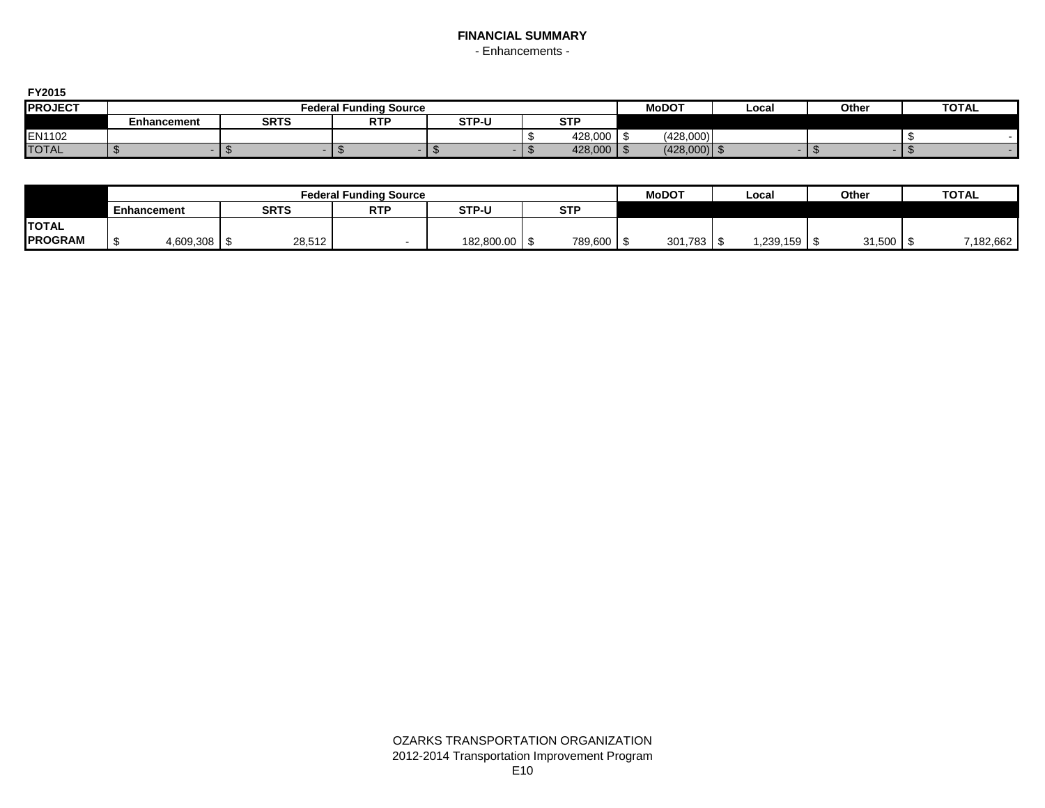# **FINANCIAL SUMMARY** - Enhancements -

**FY2015**

| 1 ZU 1 J       |             |             |                        |       |                           |              |       |       |              |
|----------------|-------------|-------------|------------------------|-------|---------------------------|--------------|-------|-------|--------------|
| <b>PROJECT</b> |             |             | Federal Funding Source |       |                           | <b>MoDOT</b> | Local | Other | <b>TOTAL</b> |
|                | Enhancement | <b>SRTS</b> | <b>RTF</b>             | STP-U | $\sim$ $\sim$ $\sim$<br>ິ |              |       |       |              |
| EN1102         |             |             |                        |       | 428,000                   | (428,000)    |       |       |              |
| <b>TOTAL</b>   |             |             |                        |       | 428,000   \$              | (428,000)    |       |       |              |

|                |                    |                    |             | <b>Federal Funding Source</b> |                 |            | <b>MoDOT</b> | ∟ocal        | Other  | <b>TOTAL</b> |
|----------------|--------------------|--------------------|-------------|-------------------------------|-----------------|------------|--------------|--------------|--------|--------------|
|                | <b>Enhancement</b> |                    | <b>SRTS</b> | <b>RTP</b>                    | <b>STP-U</b>    | <b>STP</b> |              |              |        |              |
| <b>TOTAL</b>   |                    |                    |             |                               |                 |            |              |              |        |              |
| <b>PROGRAM</b> |                    | $4,609,308$ \ \ \$ | 28,512      |                               | 182,800.00   \$ | 789,600    | $301,783$ \$ | 1,239,159 \$ | 31,500 | 7,182,662    |